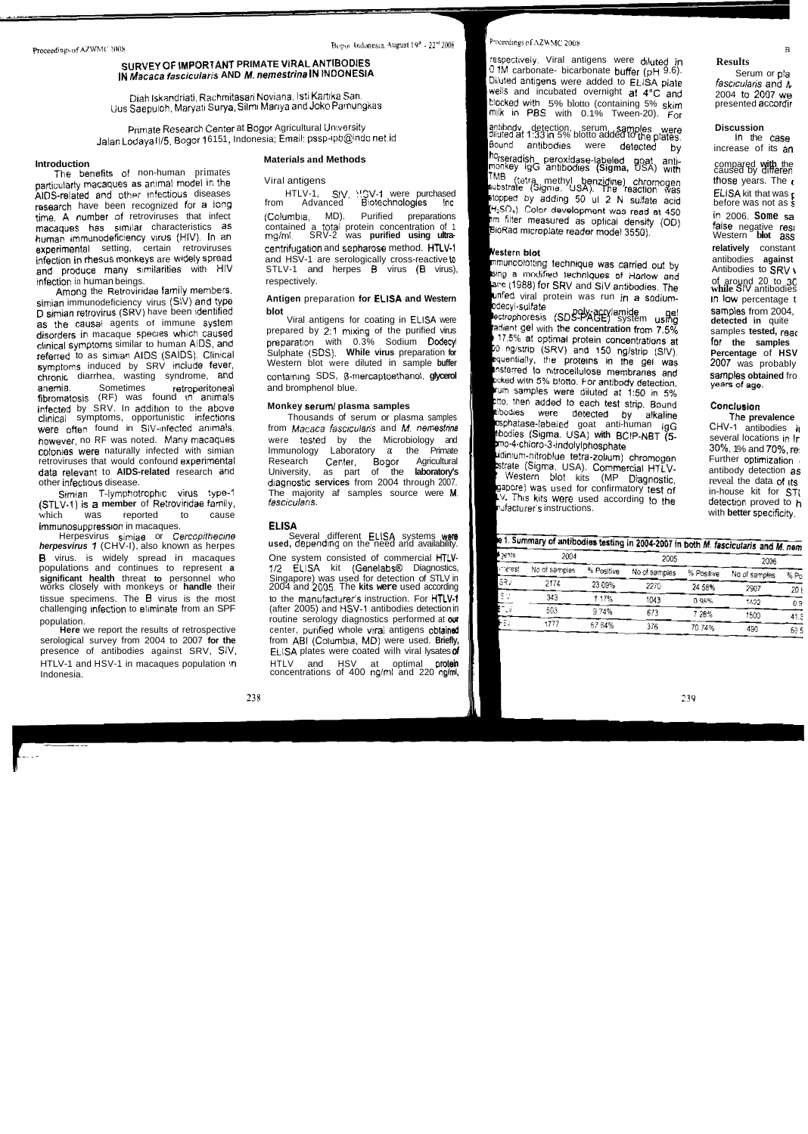# $SURVEY$  OF *IMPORTANT PRIMATE VIRAL ANTIBODIES* IN Macaca fascicularis AND M. nemestrina IN INDONESIA

Diah Iskandriati, Rachmitasari Noviana. Isti Kartika Sari. kjus Saepuloh, Maryati Suva, Silml Marlya **and** Joke Parmungkas **klocked** with 5% blotto (containing 5% **skim** presented accordir

Primate Research Center at Bogor Agricultural University  $J$ alan Lodaya II/5, Bogor 16151, Indonesia; Email: pssp-ipb@indo net.id

Introduction<br>The benefits of non-human primates<br>**EXALGO** antibodes are a spirited by different cause of the Viral antiquents particularly macaques as animal model in the Viral antigens (Viral antigens) chromogen methodsed (AIDS-related and other infectious diseases (Viral antigens) chromogen those purchased AIDS-related and other infectious diseases HTLV-1, SIV, <sup>1</sup>: ISV-1 were purchased **ELLS**<br>Fescareb basic been recognized for a long of from Advanced Biotechnologies for research have been recognized for a long time. A number of retroviruses that infect (Columbia, MD). Purified preparations macaques has similar characteristics as a contained a total protein concentration of 1 **false in the anegative reso**<br>human immunodeficiency virus (HIV). In an a mig/ml. SRV-2 was **purified using ultra**human immunodeficiency virus (HIV). In an an rng/ml, axperimental setting, certain retroviruses experimental setting, certain retroviruses centrifugation and sepharose method. HTLV-1 infection in rhesus monkeys are widely spread and HSV-1 are serologically cross-reactive to and produce many similarities with HIV STLV-1 and herpes **B** virus (B virus). and produce many similarities with HIV STLV-1 and infection in human beings. infection in human beings.

Among the Retroviridae family members,<br>an immunodeficiency virus (SW) and type **Antigen** preparation for **ELISA and Western** simian immunodeficiency virus **(SW) and** type **Antigen** preparation **for EClSA and Western ed** viral protein was run in **a sodium-** In low percentage t D **simian retrovirus (SRV)** have been identified **blot blot blot po PO**  $\frac{1}{2}$  **po PO**  $\frac{1}{2}$  **PO**  $\frac{1}{2}$  **PO**  $\frac{1}{2}$  **PO**  $\frac{1}{2}$  **PO**  $\frac{1}{2}$  **PO**  $\frac{1}{2}$  **PO**  $\frac{1}{2}$  **PO**  $\frac{1}{2}$  **PO**  $\$ as the causal agents of immune system<br>disorders in macaque species which caused clinical symptoms similar to human AIDS, and preparation with 0.3% Sodium **Dodecyl**<br>referred to as simian AIDS (SAIDS). Clinical and Sulphate (SDS). **While virus** preparation for **referred to as simian AIDS (SAIDS). Clinical Sulphate (SDS). While virus preparation for percentage induced by SRV include fever Western blot were diluted in sample buffer** symptoms induced by SRV include fever, chronic diarrhea, wasting syndrome, and containing SDS, B-mercaptoethanol, **glycerol** anemia. Sometimes retroperitoneal and bromphenol blue. **fibromatosis** (RF) was found **rn** animals infected by SRV. In addition to the above **Monkey serum/plasma samples**<br>
clinical symptoms, opportunistic infections Thousands of serum or plasma samples clinical symptoms, opportunistic infections were often found in SIV-infected animals, from Macaca *fascicularis* and M. nemestrine **however, no RF was noted. Many macaques were tested by the Microbiology and** colonies were naturally infected with simian Immunology Laboratory a: the Primate retroviruses that would confound experimental Research Center, Bogor Agricultural data relevant to **AIDS-related** research and **University, as part of the laboratory's** other infectious disease. **and a services diagnostic services** from 2004 through 2007.

(STLV-1) is a member of Retroviridae family, which was reported to cause immunosuppression in macaques. **ELISA** 

**herpesvirus 1** (CHV-I), also known as herpes **B** virus. is widely spread in macaques One system consisted of commercial HTLVpopulations and continues to represent **a** 1/2 ELISA kit (Genelabs® Diagnostics, **significant health** threat to personnel who Singapore) was used for detection of STLV in works closely with monkeys or **handle** their 2004 a **significant health** threat **to** personnel who Singapore) was used for detection of STLV in works closely with monkeys or **handle** their 2004 and **2C05.** The **kits were** used according tissue specimens. The **B** virus is the most to the manufacturer's instruction. For HTLV-1 challenging infection to eliminate from an SPF (after 2005) and HSV-1 antibodies detection in

serological survey from 2004 to 2007 for the from ABI (Columbia, MD) were used. Briefly, presence of antibodies against SRV, SIV, **ELISA plates were coated wilh viral lysates of** HTLV-1 and HSV-1 in macaques population :n HTLV and HSV at optimal **protein**  Indonesia. concentrations of 400 ng/ml and 220 ng/ml,  $\frac{1}{2}$ 

# **Materials and Methods** rseradish peroxidase-labeled **goat** anti- **Introduction** compared **with** the

prepared by 2:1 mixing of the purified virus preparation with 0.3% Sodium Dodecyl

**Simian T-lymphotrophic virus type-1** The majority af samples source were M. <br>**Port)** is a member of Retroviridae family. *fascicularis*.

Herpesvirus simiae or Cercopithecine **Several different ELISA** systems were **Several different ELISA** systems were

population. routine serology diagnostics performed at **w**  center, purified whole viral antigens obtained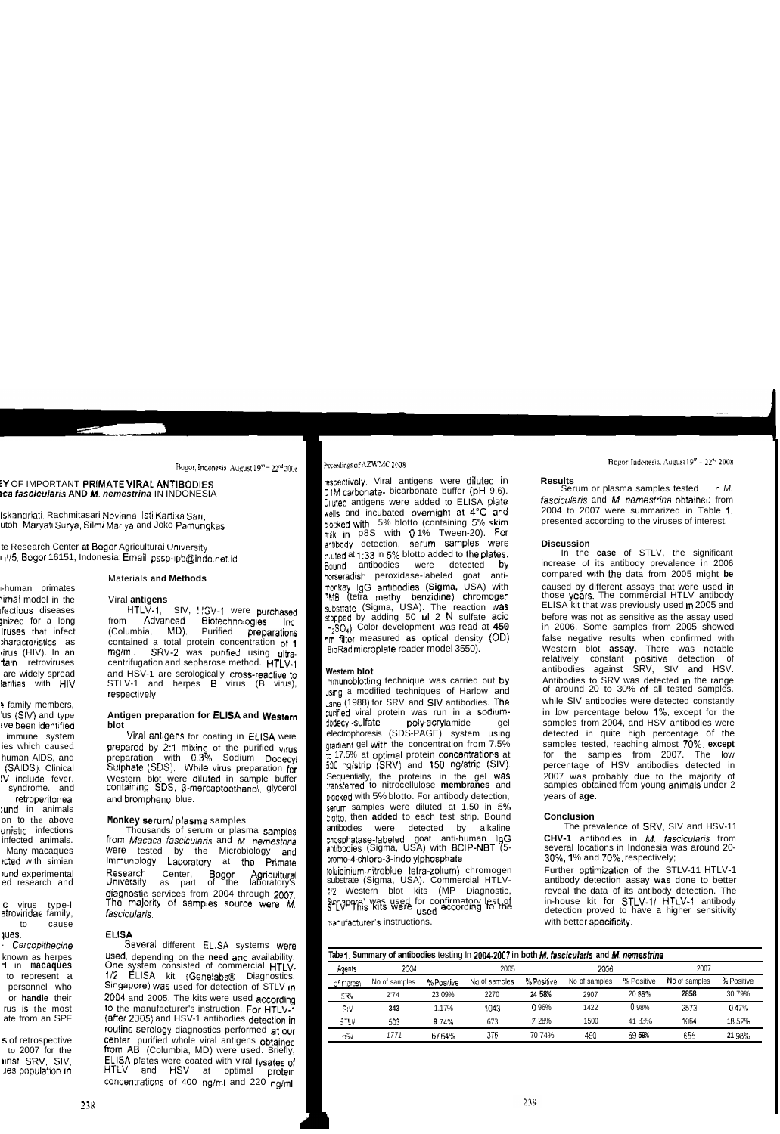### Preedings of AZWMC 2008

respectively. Viral antigens were diluted in .1M carbonate- bicarbonate buffer (pH 9.6). Digited antigens were added to ELISA plate wells and incubated overnight at 4°C and pocked with 5% blotto (containing 5% skim mik in p8S with 0.1% Tween-20). For serum samples were antibody detection, d uted at 1:33 in 5% blotto added to the plates. Bound antibodies were detected bv horseradish peroxidase-labeled goat -anti TOOKEY IQG antibodies (Sigma, USA) with MB (tetra methyl benzidine) chromogen substrate (Sigma, USA). The reaction was stopped by adding 50 ul 2 N sulfate acid  $H_2SO_4$ ). Color development was read at 450 nm filter measured as optical density (OD) BioRad microplate reader model 3550).

# Western blot

mmunoblotting technique was carried out by J<sub>sing</sub> a modified techniques of Harlow and ane (1988) for SRV and SIV antibodies. The curified viral protein was run in a sodiumdodecyl-sulfate poly-acrylamide gel electrophoresis (SDS-PAGE) system using gradient gel with the concentration from 7.5% :<sub>0</sub> 17.5% at optimal protein concentrations at 500 ng/strip (SRV) and 150 ng/strip (SIV). Sequentially, the proteins in the gel was transferred to nitrocellulose membranes and pocked with 5% blotto. For antibody detection, serum samples were diluted at 1.50 in 5% botto, then added to each test strip. Bound antibodies detected bv alkaline were goat anti-human ∃gG phosphatase-labeled antibodies (Sigma, USA) with BCIP-NBT (5bromo-4-chloro-3-indolylphosphate

toluidinium-nitroblue tetra-zolium) chromogen substrate (Sigma, USA). Commercial HTLV-(MP :/2 Western blot kits Diagnostic, STLVP9this kits were used for confirmatory lest not used manufacturer's instructions.

### **Results**

Serum or plasma samples tested n *M.* fascicularis and M, nemestrina obtained from 2004 to 2007 were summarized in Table 1, presented according to the viruses of interest.

## **Discussion**

In the case of STLV, the significant increase of its antibody prevalence in 2006 compared with the data from 2005 might be caused by different assays that were used in those years. The commercial HTLV antibody ELISA kit that was previously used in 2005 and before was not as sensitive as the assay used in 2006. Some samples from 2005 showed false negative results when confirmed with Western blot assay. There was notable relatively constant positive detection 0f antibodies against SRV, SIV and HSV. Antibodies to SRV was detected in the range of around 20 to 30% of all tested samples. while SIV antibodies were detected constantly in low percentage below 1%, except for the samples from 2004, and HSV antibodies were detected in quite high percentage of the samples tested, reaching almost 70%, except samples from 2007. The the low percentage of HSV antibodies detected in 2007 was probably due to the majority of samples obtained from young animals under 2 years of **age.** 

# **Conclusion**

The prevalence of SRV, SIV and HSV-11 CHV-1 antibodies in M. fascicularis from several locations in Indonesia was around 20-30%, 1% and 70%, respectively;

Further optimization of the STLV-11 HTLV-1 antibody detection assay was done to better reveal the data of its antibody detection. The in-house kit for STLV-1/ HTLV-1 antibody detection proved to have a higher sensitivity with better specificity.

| Tabe 1. Summary of antibodies testing In 2004-2007 in both M. fascicularis and M. nemestrina |               |            |               |            |               |            |               |            |
|----------------------------------------------------------------------------------------------|---------------|------------|---------------|------------|---------------|------------|---------------|------------|
| Agents                                                                                       | 2004          |            | 2005          |            | 2006          |            | 2007          |            |
| of interest                                                                                  | No of samples | % Positive | No of samples | % Positive | No of samples | % Positive | No of samples | % Positive |
| SRV                                                                                          | 2'74          | 23 09%     | 2270          | 24 58%     | 2907          | 20 88%     | 2858          | 30.79%     |
| SIV                                                                                          | 343           | 1.17%      | 1043          | 0.96%      | 1422          | 0.98%      | 2573          | 0.47%      |
| STLV                                                                                         | 503           | 974%       | 673           | 7 28%      | 1500          | 41 33%     | 1064          | 18.52%     |
| нSV                                                                                          | 1771          | 6764%      | 376           | 70 74%     | 490           | 69 59%     | 655           | 21 98%     |